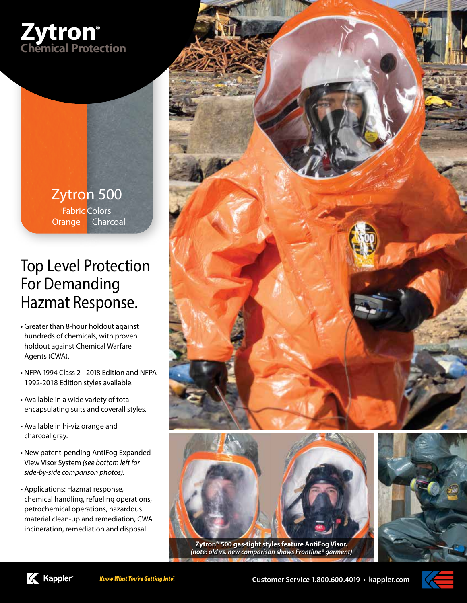

Zytron 500 Fabric Colors Orange Charcoal

## Top Level Protection For Demanding Hazmat Response.

- Greater than 8-hour holdout against hundreds of chemicals, with proven holdout against Chemical Warfare Agents (CWA).
- NFPA 1994 Class 2 2018 Edition and NFPA 1992-2018 Edition styles available.
- Available in a wide variety of total encapsulating suits and coverall styles.
- Available in hi-viz orange and charcoal gray.
- New patent-pending AntiFog Expanded-View Visor System *(see bottom left for side-by-side comparison photos).*
- Applications: Hazmat response, chemical handling, refueling operations, petrochemical operations, hazardous material clean-up and remediation, CWA incineration, remediation and disposal.





**Zytron® 500 gas-tight styles feature AntiFog Visor.** *(note: old vs. new comparison shows Frontline® garment)*